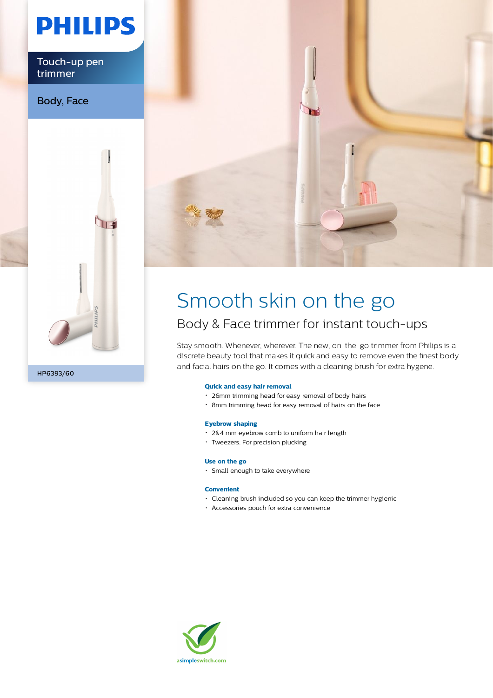# **PHILIPS**

Touch-up pen trimmer

Body, Face





### Smooth skin on the go Body & Face trimmer for instant touch-ups

Stay smooth. Whenever, wherever. The new, on-the-go trimmer from Philips is a discrete beauty tool that makes it quick and easy to remove even the finest body and facial hairs on the go. It comes with a cleaning brush for extra hygene.

#### **Quick and easy hair removal**

- 26mm trimming head for easy removal of body hairs
- 8mm trimming head for easy removal of hairs on the face

#### **Eyebrow shaping**

- 2&4 mm eyebrow comb to uniform hair length
- Tweezers. For precision plucking

#### **Use on the go**

Small enough to take everywhere

#### **Convenient**

- Cleaning brush included so you can keep the trimmer hygienic
- Accessories pouch for extra convenience

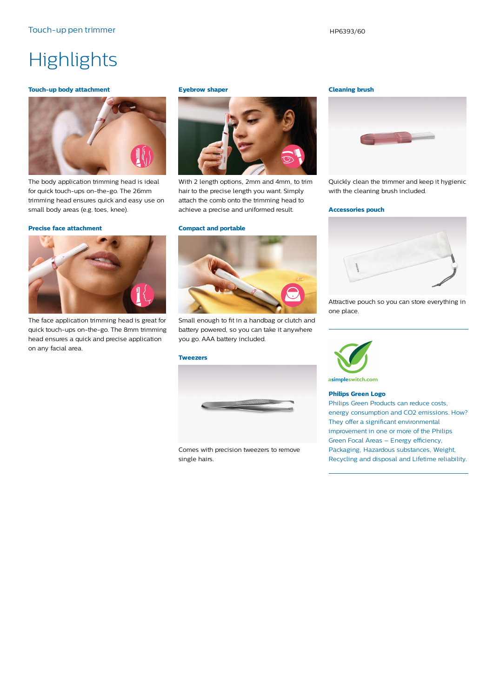## **Highlights**

#### **Touch-up body attachment**



The body application trimming head is ideal for quick touch-ups on-the-go. The 26mm trimming head ensures quick and easy use on small body areas (e.g. toes, knee).

#### **Precise face attachment**



The face application trimming head is great for quick touch-ups on-the-go. The 8mm trimming head ensures a quick and precise application on any facial area.

#### **Eyebrow shaper**



With 2 length options, 2mm and 4mm, to trim hair to the precise length you want. Simply attach the comb onto the trimming head to achieve a precise and uniformed result.

#### **Compact and portable**



Small enough to fit in a handbag or clutch and battery powered, so you can take it anywhere you go. AAA battery included.

#### **Tweezers**



Comes with precision tweezers to remove single hairs.

#### **Cleaning brush**



Quickly clean the trimmer and keep it hygienic with the cleaning brush included.

#### **Accessories pouch**



Attractive pouch so you can store everything in one place.



**Philips Green Logo**

Philips Green Products can reduce costs, energy consumption and CO2 emissions. How? They offer a significant environmental improvement in one or more of the Philips Green Focal Areas – Energy efficiency, Packaging, Hazardous substances, Weight, Recycling and disposal and Lifetime reliability.